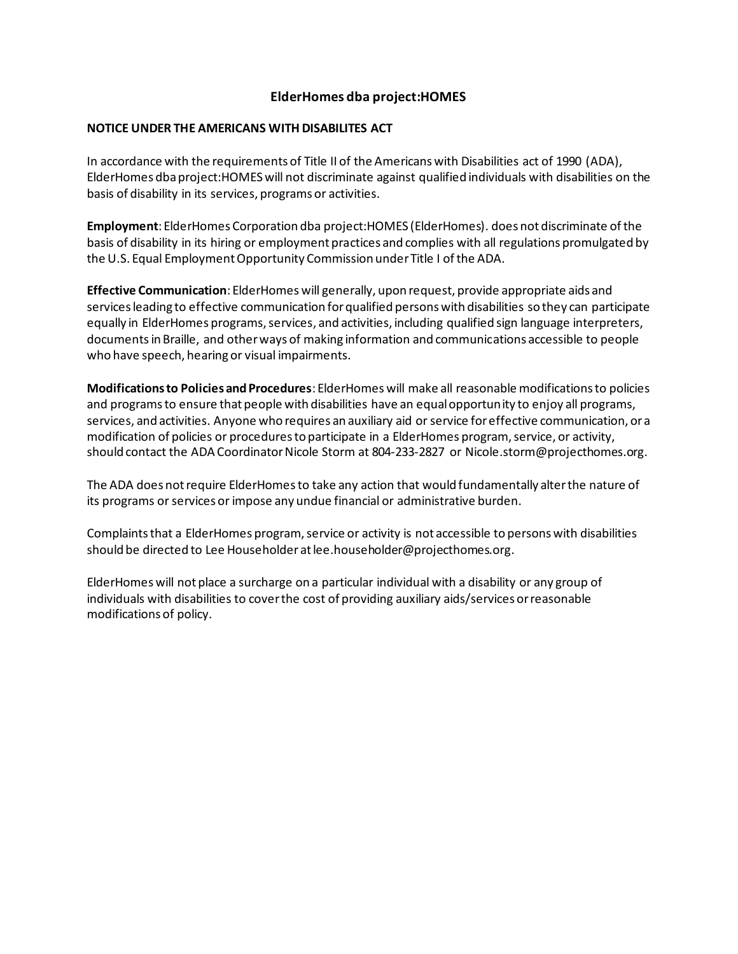## **ElderHomes dba project:HOMES**

### **NOTICE UNDER THE AMERICANS WITH DISABILITES ACT**

In accordance with the requirements of Title II of the Americans with Disabilities act of 1990 (ADA), ElderHomes dba project:HOMES will not discriminate against qualified individuals with disabilities on the basis of disability in its services, programs or activities.

**Employment**: ElderHomes Corporation dba project:HOMES (ElderHomes). does not discriminate of the basis of disability in its hiring or employment practices and complies with all regulations promulgated by the U.S. Equal Employment Opportunity Commission under Title I of the ADA.

**Effective Communication**: ElderHomes will generally, upon request, provide appropriate aids and services leading to effective communication for qualified persons with disabilities so they can participate equally in ElderHomes programs, services, and activities, including qualified sign language interpreters, documentsin Braille, and other ways of making information and communications accessible to people who have speech, hearing or visual impairments.

**Modifications to Policies and Procedures**: ElderHomes will make all reasonable modifications to policies and programs to ensure that people with disabilities have an equal opportunity to enjoy all programs, services, and activities. Anyone who requires an auxiliary aid or service for effective communication, or a modification of policies or procedures to participate in a ElderHomes program, service, or activity, should contact the ADA Coordinator Nicole Storm at 804-233-2827 or Nicole.storm@projecthomes.org.

The ADA does not require ElderHomesto take any action that would fundamentally alter the nature of its programs or services or impose any undue financial or administrative burden.

Complaints that a ElderHomes program, service or activity is not accessible to persons with disabilities should be directed to Lee Householder at lee.householder@projecthomes.org.

ElderHomes will not place a surcharge on a particular individual with a disability or any group of individuals with disabilities to cover the cost of providing auxiliary aids/services or reasonable modifications of policy.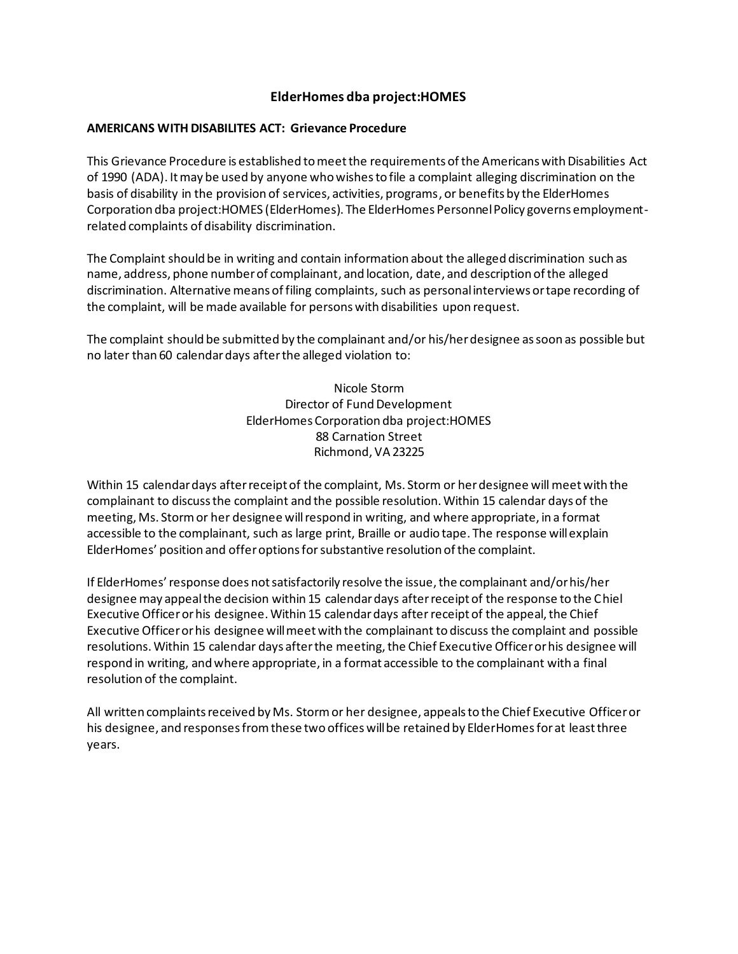# **ElderHomes dba project:HOMES**

### **AMERICANS WITH DISABILITES ACT: Grievance Procedure**

This Grievance Procedure is established to meet the requirements of the Americans with Disabilities Act of 1990 (ADA). It may be used by anyone who wishes to file a complaint alleging discrimination on the basis of disability in the provision of services, activities, programs, or benefits by the ElderHomes Corporation dba project:HOMES (ElderHomes). The ElderHomes Personnel Policy governs employmentrelated complaints of disability discrimination.

The Complaint should be in writing and contain information about the alleged discrimination such as name, address, phone number of complainant, and location, date, and description of the alleged discrimination. Alternative means of filing complaints, such as personal interviews or tape recording of the complaint, will be made available for persons with disabilities upon request.

The complaint should be submitted by the complainant and/or his/her designee as soon as possible but no later than 60 calendar days after the alleged violation to:

> Nicole Storm Director of Fund Development ElderHomes Corporation dba project:HOMES 88 Carnation Street Richmond, VA 23225

Within 15 calendar days after receipt of the complaint, Ms. Storm or her designee will meet with the complainant to discuss the complaint and the possible resolution. Within 15 calendar days of the meeting, Ms. Storm or her designee will respond in writing, and where appropriate, in a format accessible to the complainant, such as large print, Braille or audio tape. The response will explain ElderHomes' position and offer options for substantive resolution of the complaint.

If ElderHomes' response does not satisfactorily resolve the issue, the complainant and/or his/her designee may appeal the decision within 15 calendar days after receipt of the response to the Chiel Executive Officer or his designee. Within 15 calendar days afterreceipt of the appeal, the Chief Executive Officer or his designee will meet with the complainant to discuss the complaint and possible resolutions. Within 15 calendar days after the meeting, the Chief Executive Officer or his designee will respond in writing, and where appropriate, in a format accessible to the complainant with a final resolution of the complaint.

All written complaints received by Ms. Storm or her designee, appeals to the Chief Executive Officer or his designee, and responses from these two offices will be retained by ElderHomes for at least three years.